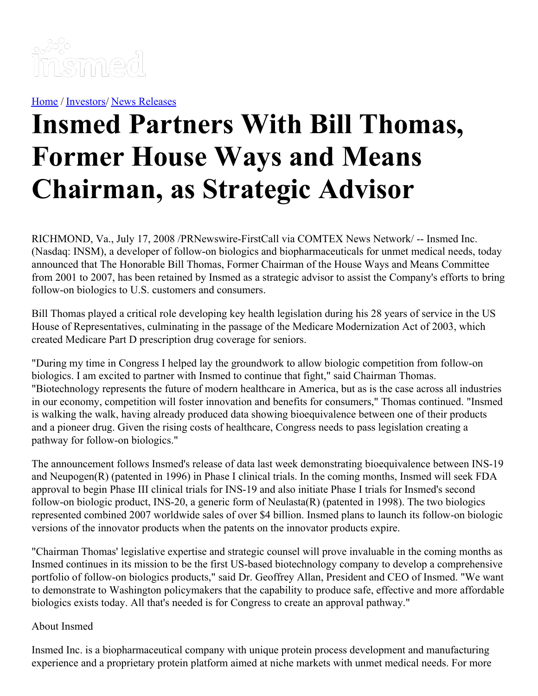

[Home](https://insmed.com/) / [Investors](https://investor.insmed.com/index)/ News [Releases](https://investor.insmed.com/releases)

# **Insmed Partners With Bill Thomas, Former House Ways and Means Chairman, as Strategic Advisor**

RICHMOND, Va., July 17, 2008 /PRNewswire-FirstCall via COMTEX News Network/ -- Insmed Inc. (Nasdaq: INSM), a developer of follow-on biologics and biopharmaceuticals for unmet medical needs, today announced that The Honorable Bill Thomas, Former Chairman of the House Ways and Means Committee from 2001 to 2007, has been retained by Insmed as a strategic advisor to assist the Company's efforts to bring follow-on biologics to U.S. customers and consumers.

Bill Thomas played a critical role developing key health legislation during his 28 years of service in the US House of Representatives, culminating in the passage of the Medicare Modernization Act of 2003, which created Medicare Part D prescription drug coverage for seniors.

"During my time in Congress I helped lay the groundwork to allow biologic competition from follow-on biologics. I am excited to partner with Insmed to continue that fight," said Chairman Thomas. "Biotechnology represents the future of modern healthcare in America, but as is the case across all industries in our economy, competition will foster innovation and benefits for consumers," Thomas continued. "Insmed is walking the walk, having already produced data showing bioequivalence between one of their products and a pioneer drug. Given the rising costs of healthcare, Congress needs to pass legislation creating a pathway for follow-on biologics."

The announcement follows Insmed's release of data last week demonstrating bioequivalence between INS-19 and Neupogen(R) (patented in 1996) in Phase I clinical trials. In the coming months, Insmed will seek FDA approval to begin Phase III clinical trials for INS-19 and also initiate Phase I trials for Insmed's second follow-on biologic product, INS-20, a generic form of Neulasta(R) (patented in 1998). The two biologics represented combined 2007 worldwide sales of over \$4 billion. Insmed plans to launch its follow-on biologic versions of the innovator products when the patents on the innovator products expire.

"Chairman Thomas' legislative expertise and strategic counsel will prove invaluable in the coming months as Insmed continues in its mission to be the first US-based biotechnology company to develop a comprehensive portfolio of follow-on biologics products," said Dr. Geoffrey Allan, President and CEO of Insmed. "We want to demonstrate to Washington policymakers that the capability to produce safe, effective and more affordable biologics exists today. All that's needed is for Congress to create an approval pathway."

### About Insmed

Insmed Inc. is a biopharmaceutical company with unique protein process development and manufacturing experience and a proprietary protein platform aimed at niche markets with unmet medical needs. For more